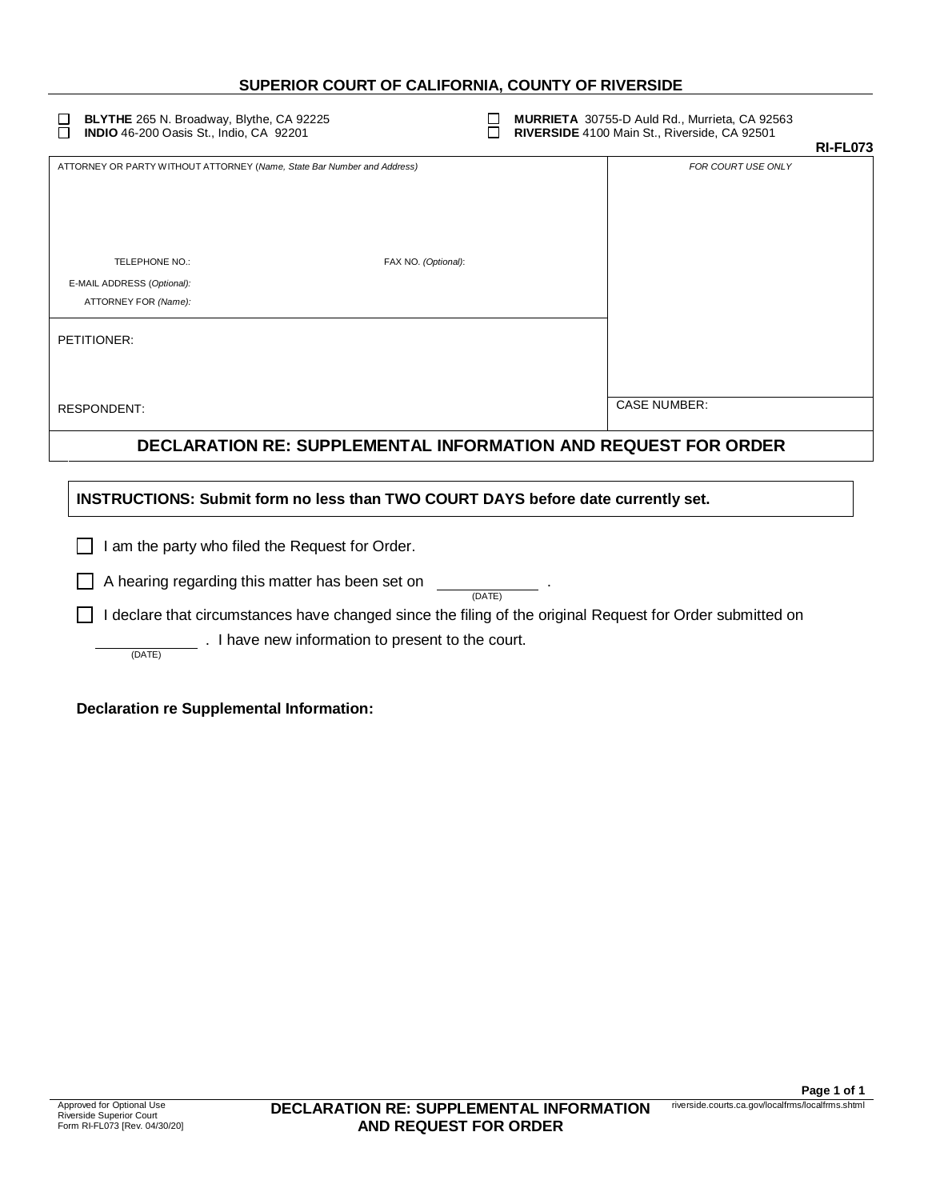## **SUPERIOR COURT OF CALIFORNIA, COUNTY OF RIVERSIDE**

□ **BLYTHE** 265 N. Broadway, Blythe, CA 92225 <br> **INDIO** 46-200 Oasis St., Indio, CA 92201 **MURRIETA** 30755-D Auld Rd., Niverside, CA 92501 ō **RIVERSIDE** 4100 Main St., Riverside, CA 92501 **RI-FL073** ATTORNEY OR PARTY WITHOUT ATTORNEY (*Name, State Bar Number and Address) FOR COURT USE ONLY* TELEPHONE NO.: FAX NO. *(Optional)*: E-MAIL ADDRESS (*Optional):* ATTORNEY FOR *(Name):* PETITIONER: RESPONDENT: CASE NUMBER: **DECLARATION RE: SUPPLEMENTAL INFORMATION AND REQUEST FOR ORDER INSTRUCTIONS: Submit form no less than TWO COURT DAYS before date currently set.**   $\Box$  I am the party who filed the Request for Order.  $\Box$  A hearing regarding this matter has been set on (DATE)  $\Box$  I declare that circumstances have changed since the filing of the original Request for Order submitted on  $\overline{\phantom{a}}$  . I have new information to present to the court. (DATE)

**Declaration re Supplemental Information:**